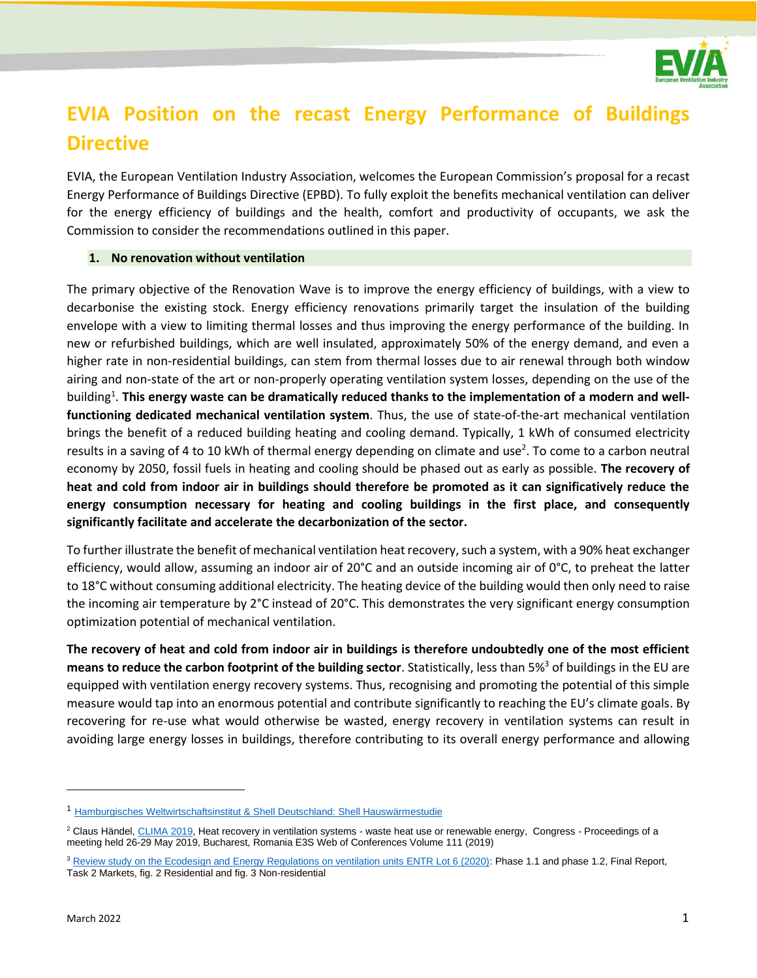

# **EVIA Position on the recast Energy Performance of Buildings Directive**

EVIA, the European Ventilation Industry Association, welcomes the European Commission's proposal for a recast Energy Performance of Buildings Directive (EPBD). To fully exploit the benefits mechanical ventilation can deliver for the energy efficiency of buildings and the health, comfort and productivity of occupants, we ask the Commission to consider the recommendations outlined in this paper.

## **1. No renovation without ventilation**

The primary objective of the Renovation Wave is to improve the energy efficiency of buildings, with a view to decarbonise the existing stock. Energy efficiency renovations primarily target the insulation of the building envelope with a view to limiting thermal losses and thus improving the energy performance of the building. In new or refurbished buildings, which are well insulated, approximately 50% of the energy demand, and even a higher rate in non-residential buildings, can stem from thermal losses due to air renewal through both window airing and non-state of the art or non-properly operating ventilation system losses, depending on the use of the building<sup>1</sup>. This energy waste can be dramatically reduced thanks to the implementation of a modern and well**functioning dedicated mechanical ventilation system**. Thus, the use of state-of-the-art mechanical ventilation brings the benefit of a reduced building heating and cooling demand. Typically, 1 kWh of consumed electricity results in a saving of 4 to 10 kWh of thermal energy depending on climate and use<sup>2</sup>. To come to a carbon neutral economy by 2050, fossil fuels in heating and cooling should be phased out as early as possible. **The recovery of heat and cold from indoor air in buildings should therefore be promoted as it can significatively reduce the energy consumption necessary for heating and cooling buildings in the first place, and consequently significantly facilitate and accelerate the decarbonization of the sector.** 

To further illustrate the benefit of mechanical ventilation heat recovery, such a system, with a 90% heat exchanger efficiency, would allow, assuming an indoor air of 20°C and an outside incoming air of 0°C, to preheat the latter to 18°C without consuming additional electricity. The heating device of the building would then only need to raise the incoming air temperature by 2°C instead of 20°C. This demonstrates the very significant energy consumption optimization potential of mechanical ventilation.

**The recovery of heat and cold from indoor air in buildings is therefore undoubtedly one of the most efficient means to reduce the carbon footprint of the building sector**. Statistically, less than 5%<sup>3</sup> of buildings in the EU are equipped with ventilation energy recovery systems. Thus, recognising and promoting the potential of this simple measure would tap into an enormous potential and contribute significantly to reaching the EU's climate goals. By recovering for re-use what would otherwise be wasted, energy recovery in ventilation systems can result in avoiding large energy losses in buildings, therefore contributing to its overall energy performance and allowing

<sup>1</sup> [Hamburgisches Weltwirtschaftsinstitut & Shell Deutschland: Shell Hauswärmestudie](https://www.shell.de/promos/media/shell-house-heat-study-2011/_jcr_content.stream/1455892952601/857e5cca7cb81a00c6d8b59ec4204576b25cfc07/shell-hauswaermestudie-2011.pdf)

<sup>&</sup>lt;sup>2</sup> Claus Händel[, CLIMA 2019,](https://www.google.com/url?sa=t&rct=j&q=&esrc=s&source=web&cd=&ved=2ahUKEwjdm7L--v7zAhUDDOwKHXS4DdMQFnoECAsQAQ&url=https%3A%2F%2Fwww.rehva.eu%2Frehva-journal%2Fdetail%3Ftx_wbjournals_journaldetail%255Baction%255D%3Ddownload%26tx_wbjournals_journaldetail%255Bcontroller%255D%3DJournal%26tx_wbjournals_journaldetail%255Bjournal%255D%3D57%26cHash%3D61f16326ee48889b00ea736fb40ff0fe&usg=AOvVaw1PLe1XasJuaazU3TvNAPFv) Heat recovery in ventilation systems - waste heat use or renewable energy, Congress - Proceedings of a meeting held 26-29 May 2019, Bucharest, Romania E3S Web of Conferences Volume 111 (2019)

<sup>&</sup>lt;sup>3</sup> [Review study on the Ecodesign and Energy Regulations on ventilation units ENTR Lot 6 \(2020\):](https://www.ecoventilation-review.eu/documents.htm#a20200925) Phase 1.1 and phase 1.2, Final Report, Task 2 Markets, fig. 2 Residential and fig. 3 Non-residential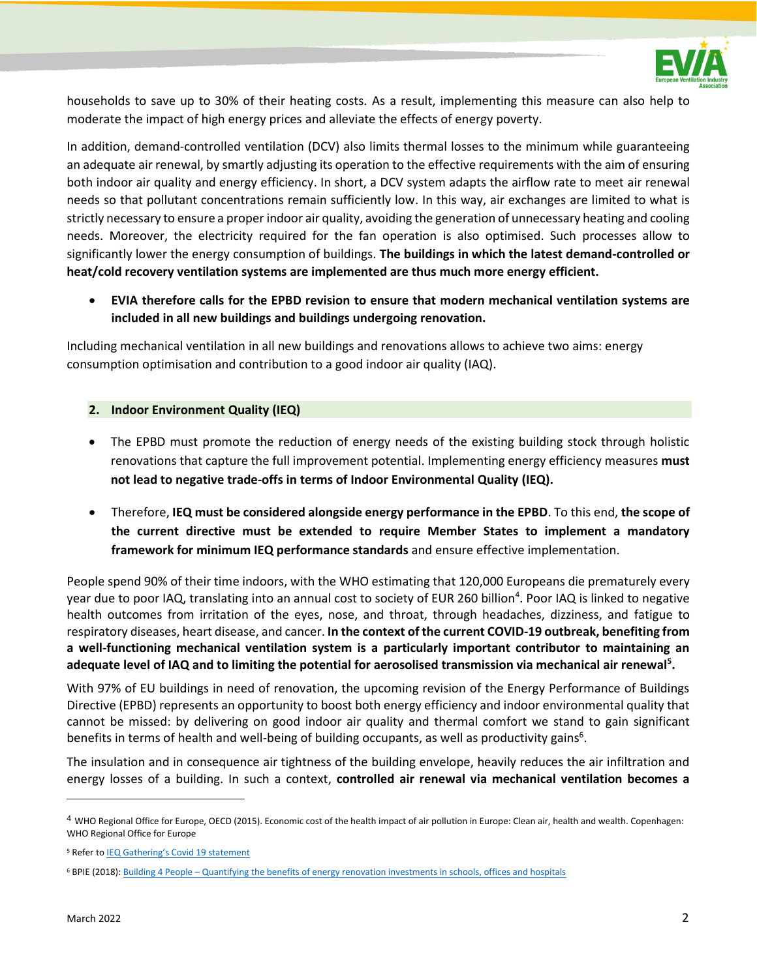

households to save up to 30% of their heating costs. As a result, implementing this measure can also help to moderate the impact of high energy prices and alleviate the effects of energy poverty.

In addition, demand-controlled ventilation (DCV) also limits thermal losses to the minimum while guaranteeing an adequate air renewal, by smartly adjusting its operation to the effective requirements with the aim of ensuring both indoor air quality and energy efficiency. In short, a DCV system adapts the airflow rate to meet air renewal needs so that pollutant concentrations remain sufficiently low. In this way, air exchanges are limited to what is strictly necessary to ensure a proper indoor air quality, avoiding the generation of unnecessary heating and cooling needs. Moreover, the electricity required for the fan operation is also optimised. Such processes allow to significantly lower the energy consumption of buildings. **The buildings in which the latest demand-controlled or heat/cold recovery ventilation systems are implemented are thus much more energy efficient.**

• **EVIA therefore calls for the EPBD revision to ensure that modern mechanical ventilation systems are included in all new buildings and buildings undergoing renovation.**

Including mechanical ventilation in all new buildings and renovations allows to achieve two aims: energy consumption optimisation and contribution to a good indoor air quality (IAQ).

## **2. Indoor Environment Quality (IEQ)**

- The EPBD must promote the reduction of energy needs of the existing building stock through holistic renovations that capture the full improvement potential. Implementing energy efficiency measures **must not lead to negative trade-offs in terms of Indoor Environmental Quality (IEQ).**
- Therefore, **IEQ must be considered alongside energy performance in the EPBD**. To this end, **the scope of the current directive must be extended to require Member States to implement a mandatory framework for minimum IEQ performance standards** and ensure effective implementation.

People spend 90% of their time indoors, with the WHO estimating that 120,000 Europeans die prematurely every year due to poor IAQ, translating into an annual cost to society of EUR 260 billion<sup>4</sup>. Poor IAQ is linked to negative health outcomes from irritation of the eyes, nose, and throat, through headaches, dizziness, and fatigue to respiratory diseases, heart disease, and cancer. **In the context of the current COVID-19 outbreak, benefiting from a well-functioning mechanical ventilation system is a particularly important contributor to maintaining an adequate level of IAQ and to limiting the potential for aerosolised transmission via mechanical air renewal<sup>5</sup> .**

With 97% of EU buildings in need of renovation, the upcoming revision of the Energy Performance of Buildings Directive (EPBD) represents an opportunity to boost both energy efficiency and indoor environmental quality that cannot be missed: by delivering on good indoor air quality and thermal comfort we stand to gain significant benefits in terms of health and well-being of building occupants, as well as productivity gains<sup>6</sup>.

The insulation and in consequence air tightness of the building envelope, heavily reduces the air infiltration and energy losses of a building. In such a context, **controlled air renewal via mechanical ventilation becomes a** 

<sup>4</sup> WHO Regional Office for Europe, OECD (2015). Economic cost of the health impact of air pollution in Europe: Clean air, health and wealth. Copenhagen: WHO Regional Office for Europe

<sup>&</sup>lt;sup>5</sup> Refer to **[IEQ Gathering's Covid 19 statement](https://www.evia.eu/wp-content/uploads/Healthy-Buildings-for-All-IEQ-Gathering-Manifesto.pdf)** 

<sup>6</sup> BPIE (2018): Building 4 People – [Quantifying the benefits of energy renovation investments in schools, offices and hospitals](https://www.bpie.eu/publication/building-4-people-valorising-the-benefits-of-energy-renovation-investments-in-schools-offices-and-hospitals/)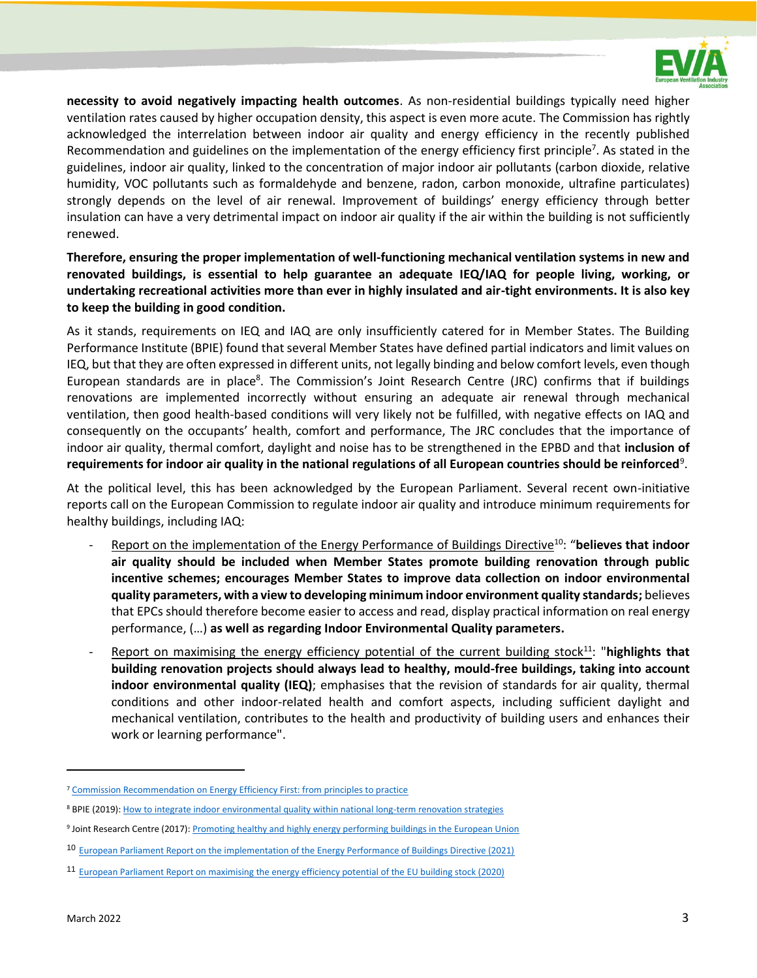

**necessity to avoid negatively impacting health outcomes**. As non-residential buildings typically need higher ventilation rates caused by higher occupation density, this aspect is even more acute. The Commission has rightly acknowledged the interrelation between indoor air quality and energy efficiency in the recently published Recommendation and guidelines on the implementation of the energy efficiency first principle<sup>7</sup>. As stated in the guidelines, indoor air quality, linked to the concentration of major indoor air pollutants (carbon dioxide, relative humidity, VOC pollutants such as formaldehyde and benzene, radon, carbon monoxide, ultrafine particulates) strongly depends on the level of air renewal. Improvement of buildings' energy efficiency through better insulation can have a very detrimental impact on indoor air quality if the air within the building is not sufficiently renewed.

**Therefore, ensuring the proper implementation of well-functioning mechanical ventilation systems in new and renovated buildings, is essential to help guarantee an adequate IEQ/IAQ for people living, working, or undertaking recreational activities more than ever in highly insulated and air-tight environments. It is also key to keep the building in good condition.**

As it stands, requirements on IEQ and IAQ are only insufficiently catered for in Member States. The Building Performance Institute (BPIE) found that several Member States have defined partial indicators and limit values on IEQ, but that they are often expressed in different units, not legally binding and below comfort levels, even though European standards are in place<sup>8</sup>. The Commission's Joint Research Centre (JRC) confirms that if buildings renovations are implemented incorrectly without ensuring an adequate air renewal through mechanical ventilation, then good health-based conditions will very likely not be fulfilled, with negative effects on IAQ and consequently on the occupants' health, comfort and performance, The JRC concludes that the importance of indoor air quality, thermal comfort, daylight and noise has to be strengthened in the EPBD and that **inclusion of**  requirements for indoor air quality in the national regulations of all European countries should be reinforced<sup>9</sup>.

At the political level, this has been acknowledged by the European Parliament. Several recent own-initiative reports call on the European Commission to regulate indoor air quality and introduce minimum requirements for healthy buildings, including IAQ:

- Report on the implementation of the Energy Performance of Buildings Directive<sup>10</sup>: "**believes that indoor air quality should be included when Member States promote building renovation through public incentive schemes; encourages Member States to improve data collection on indoor environmental quality parameters, with a view to developing minimum indoor environment quality standards;** believes that EPCs should therefore become easier to access and read, display practical information on real energy performance, (…) **as well as regarding Indoor Environmental Quality parameters.**
- Report on maximising the energy efficiency potential of the current building stock<sup>11</sup>: "**highlights that building renovation projects should always lead to healthy, mould-free buildings, taking into account indoor environmental quality (IEQ)**; emphasises that the revision of standards for air quality, thermal conditions and other indoor-related health and comfort aspects, including sufficient daylight and mechanical ventilation, contributes to the health and productivity of building users and enhances their work or learning performance".

<sup>&</sup>lt;sup>7</sup> [Commission Recommendation on Energy Efficiency First: from principles to practice](https://ec.europa.eu/energy/sites/default/files/eef_recommendation_ref_tbc.pdf)

<sup>8</sup> BPIE (2019)[: How to integrate indoor environmental quality within national long-term renovation strategies](https://www.bpie.eu/wp-content/uploads/2019/05/IEQ_4pager_Final.pdf)

<sup>&</sup>lt;sup>9</sup> Joint Research Centre (2017): <u>Promoting healthy and highly energy performing buildings in the European Union</u>

<sup>10</sup> European Parliament Report on the implementation of the Energy Performance of Buildings Directive (2021)

<sup>11</sup> [European Parliament Report on maximising the energy efficiency potential of the EU building stock \(2020\)](https://www.europarl.europa.eu/doceo/document/A-9-2020-0134_EN.html)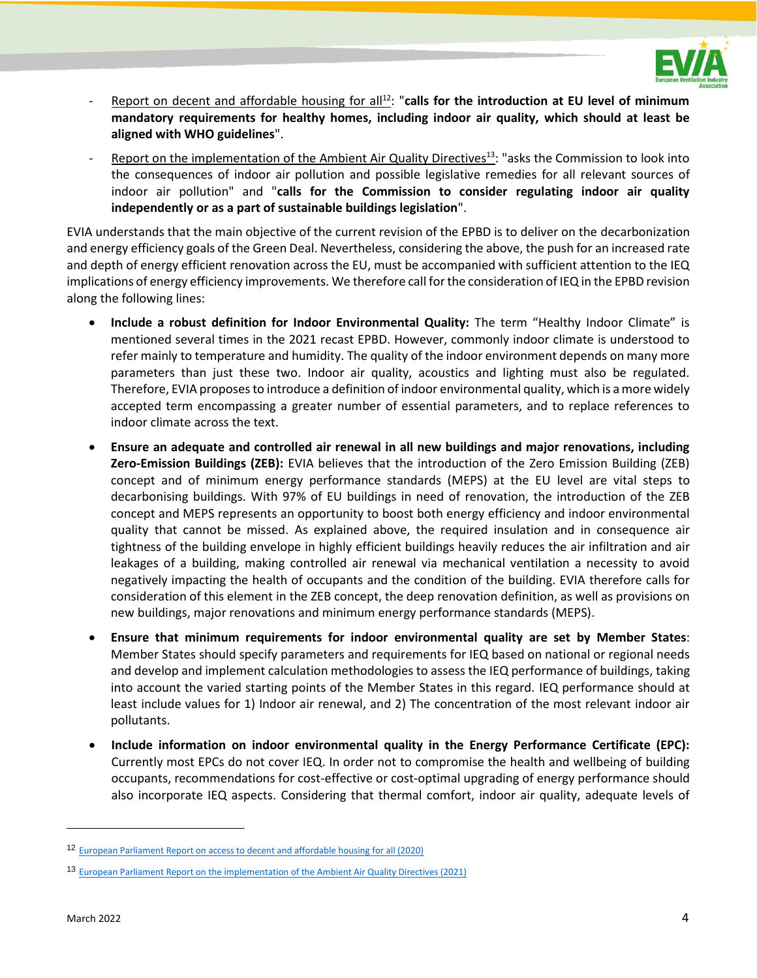

- Report on decent and affordable housing for all<sup>12</sup>: "calls for the introduction at EU level of minimum **mandatory requirements for healthy homes, including indoor air quality, which should at least be aligned with WHO guidelines**".
- Report on the implementation of the Ambient Air Quality Directives<sup>13</sup>: "asks the Commission to look into the consequences of indoor air pollution and possible legislative remedies for all relevant sources of indoor air pollution" and "**calls for the Commission to consider regulating indoor air quality independently or as a part of sustainable buildings legislation**".

EVIA understands that the main objective of the current revision of the EPBD is to deliver on the decarbonization and energy efficiency goals of the Green Deal. Nevertheless, considering the above, the push for an increased rate and depth of energy efficient renovation across the EU, must be accompanied with sufficient attention to the IEQ implications of energy efficiency improvements. We therefore call for the consideration of IEQ in the EPBD revision along the following lines:

- **Include a robust definition for Indoor Environmental Quality:** The term "Healthy Indoor Climate" is mentioned several times in the 2021 recast EPBD. However, commonly indoor climate is understood to refer mainly to temperature and humidity. The quality of the indoor environment depends on many more parameters than just these two. Indoor air quality, acoustics and lighting must also be regulated. Therefore, EVIA proposesto introduce a definition of indoor environmental quality, which is a more widely accepted term encompassing a greater number of essential parameters, and to replace references to indoor climate across the text.
- **Ensure an adequate and controlled air renewal in all new buildings and major renovations, including Zero-Emission Buildings (ZEB):** EVIA believes that the introduction of the Zero Emission Building (ZEB) concept and of minimum energy performance standards (MEPS) at the EU level are vital steps to decarbonising buildings. With 97% of EU buildings in need of renovation, the introduction of the ZEB concept and MEPS represents an opportunity to boost both energy efficiency and indoor environmental quality that cannot be missed. As explained above, the required insulation and in consequence air tightness of the building envelope in highly efficient buildings heavily reduces the air infiltration and air leakages of a building, making controlled air renewal via mechanical ventilation a necessity to avoid negatively impacting the health of occupants and the condition of the building. EVIA therefore calls for consideration of this element in the ZEB concept, the deep renovation definition, as well as provisions on new buildings, major renovations and minimum energy performance standards (MEPS).
- **Ensure that minimum requirements for indoor environmental quality are set by Member States**: Member States should specify parameters and requirements for IEQ based on national or regional needs and develop and implement calculation methodologies to assess the IEQ performance of buildings, taking into account the varied starting points of the Member States in this regard. IEQ performance should at least include values for 1) Indoor air renewal, and 2) The concentration of the most relevant indoor air pollutants.
- **Include information on indoor environmental quality in the Energy Performance Certificate (EPC):** Currently most EPCs do not cover IEQ. In order not to compromise the health and wellbeing of building occupants, recommendations for cost-effective or cost-optimal upgrading of energy performance should also incorporate IEQ aspects. Considering that thermal comfort, indoor air quality, adequate levels of

<sup>12</sup> [European Parliament Report on access to decent and affordable housing for all \(2020\)](https://www.europarl.europa.eu/doceo/document/A-9-2020-0247_EN.html)

<sup>13</sup> [European Parliament Report on the implementation of the Ambient Air Quality Directives \(2021\)](https://www.europarl.europa.eu/doceo/document/A-9-2021-0037_EN.html)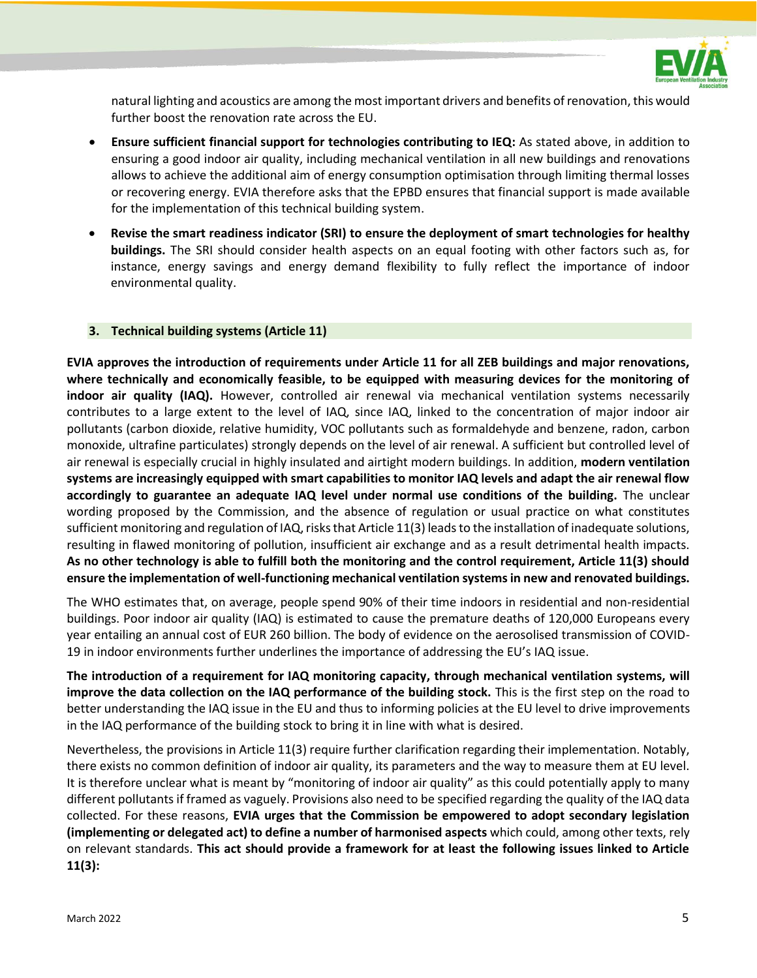

natural lighting and acoustics are among the most important drivers and benefits of renovation, this would further boost the renovation rate across the EU.

- **Ensure sufficient financial support for technologies contributing to IEQ:** As stated above, in addition to ensuring a good indoor air quality, including mechanical ventilation in all new buildings and renovations allows to achieve the additional aim of energy consumption optimisation through limiting thermal losses or recovering energy. EVIA therefore asks that the EPBD ensures that financial support is made available for the implementation of this technical building system.
- **Revise the smart readiness indicator (SRI) to ensure the deployment of smart technologies for healthy buildings.** The SRI should consider health aspects on an equal footing with other factors such as, for instance, energy savings and energy demand flexibility to fully reflect the importance of indoor environmental quality.

## **3. Technical building systems (Article 11)**

**EVIA approves the introduction of requirements under Article 11 for all ZEB buildings and major renovations, where technically and economically feasible, to be equipped with measuring devices for the monitoring of indoor air quality (IAQ).** However, controlled air renewal via mechanical ventilation systems necessarily contributes to a large extent to the level of IAQ, since IAQ, linked to the concentration of major indoor air pollutants (carbon dioxide, relative humidity, VOC pollutants such as formaldehyde and benzene, radon, carbon monoxide, ultrafine particulates) strongly depends on the level of air renewal. A sufficient but controlled level of air renewal is especially crucial in highly insulated and airtight modern buildings. In addition, **modern ventilation systems are increasingly equipped with smart capabilities to monitor IAQ levels and adapt the air renewal flow accordingly to guarantee an adequate IAQ level under normal use conditions of the building.** The unclear wording proposed by the Commission, and the absence of regulation or usual practice on what constitutes sufficient monitoring and regulation of IAQ, risks that Article 11(3) leads to the installation of inadequate solutions, resulting in flawed monitoring of pollution, insufficient air exchange and as a result detrimental health impacts. **As no other technology is able to fulfill both the monitoring and the control requirement, Article 11(3) should ensure the implementation of well-functioning mechanical ventilation systems in new and renovated buildings.**

The WHO estimates that, on average, people spend 90% of their time indoors in residential and non-residential buildings. Poor indoor air quality (IAQ) is estimated to cause the premature deaths of 120,000 Europeans every year entailing an annual cost of EUR 260 billion. The body of evidence on the aerosolised transmission of COVID-19 in indoor environments further underlines the importance of addressing the EU's IAQ issue.

**The introduction of a requirement for IAQ monitoring capacity, through mechanical ventilation systems, will improve the data collection on the IAQ performance of the building stock.** This is the first step on the road to better understanding the IAQ issue in the EU and thus to informing policies at the EU level to drive improvements in the IAQ performance of the building stock to bring it in line with what is desired.

Nevertheless, the provisions in Article 11(3) require further clarification regarding their implementation. Notably, there exists no common definition of indoor air quality, its parameters and the way to measure them at EU level. It is therefore unclear what is meant by "monitoring of indoor air quality" as this could potentially apply to many different pollutants if framed as vaguely. Provisions also need to be specified regarding the quality of the IAQ data collected. For these reasons, **EVIA urges that the Commission be empowered to adopt secondary legislation (implementing or delegated act) to define a number of harmonised aspects** which could, among other texts, rely on relevant standards. **This act should provide a framework for at least the following issues linked to Article 11(3):**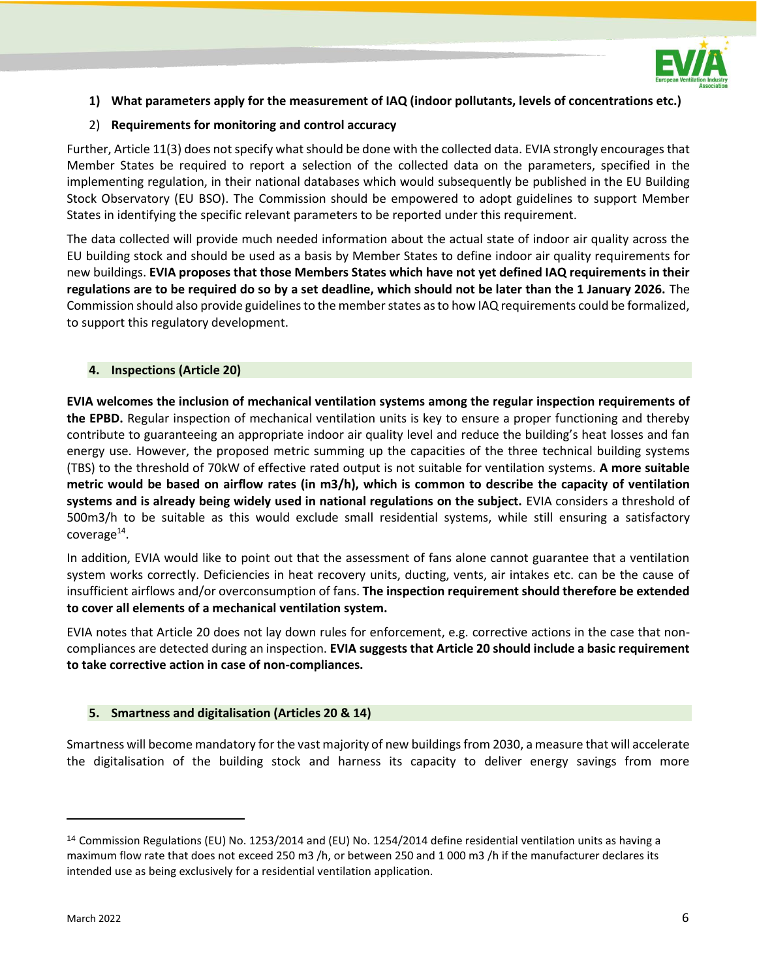

## **1) What parameters apply for the measurement of IAQ (indoor pollutants, levels of concentrations etc.)**

## 2) **Requirements for monitoring and control accuracy**

Further, Article 11(3) does not specify what should be done with the collected data. EVIA strongly encourages that Member States be required to report a selection of the collected data on the parameters, specified in the implementing regulation, in their national databases which would subsequently be published in the EU Building Stock Observatory (EU BSO). The Commission should be empowered to adopt guidelines to support Member States in identifying the specific relevant parameters to be reported under this requirement.

The data collected will provide much needed information about the actual state of indoor air quality across the EU building stock and should be used as a basis by Member States to define indoor air quality requirements for new buildings. **EVIA proposes that those Members States which have not yet defined IAQ requirements in their regulations are to be required do so by a set deadline, which should not be later than the 1 January 2026.** The Commission should also provide guidelines to the member states as to how IAQ requirements could be formalized, to support this regulatory development.

## **4. Inspections (Article 20)**

**EVIA welcomes the inclusion of mechanical ventilation systems among the regular inspection requirements of the EPBD.** Regular inspection of mechanical ventilation units is key to ensure a proper functioning and thereby contribute to guaranteeing an appropriate indoor air quality level and reduce the building's heat losses and fan energy use. However, the proposed metric summing up the capacities of the three technical building systems (TBS) to the threshold of 70kW of effective rated output is not suitable for ventilation systems. **A more suitable metric would be based on airflow rates (in m3/h), which is common to describe the capacity of ventilation systems and is already being widely used in national regulations on the subject.** EVIA considers a threshold of 500m3/h to be suitable as this would exclude small residential systems, while still ensuring a satisfactory  ${\sf coverage^{14}}.$ 

In addition, EVIA would like to point out that the assessment of fans alone cannot guarantee that a ventilation system works correctly. Deficiencies in heat recovery units, ducting, vents, air intakes etc. can be the cause of insufficient airflows and/or overconsumption of fans. **The inspection requirement should therefore be extended to cover all elements of a mechanical ventilation system.**

EVIA notes that Article 20 does not lay down rules for enforcement, e.g. corrective actions in the case that noncompliances are detected during an inspection. **EVIA suggests that Article 20 should include a basic requirement to take corrective action in case of non-compliances.**

#### **5. Smartness and digitalisation (Articles 20 & 14)**

Smartness will become mandatory for the vast majority of new buildings from 2030, a measure that will accelerate the digitalisation of the building stock and harness its capacity to deliver energy savings from more

<sup>14</sup> Commission Regulations (EU) No. 1253/2014 and (EU) No. 1254/2014 define residential ventilation units as having a maximum flow rate that does not exceed 250 m3 /h, or between 250 and 1 000 m3 /h if the manufacturer declares its intended use as being exclusively for a residential ventilation application.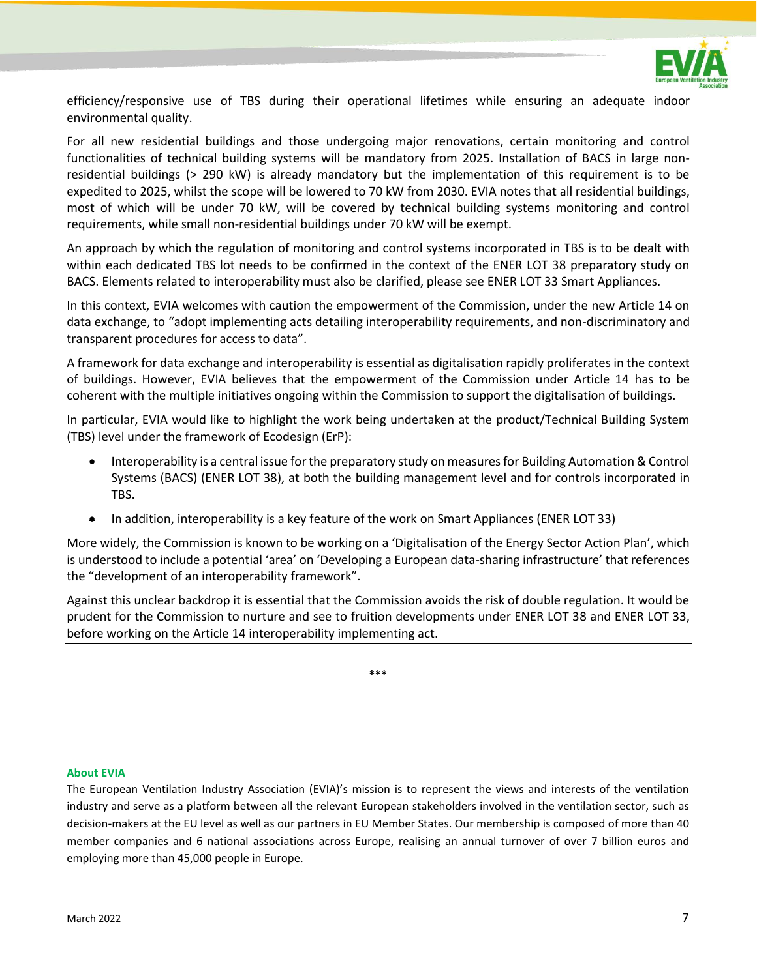

efficiency/responsive use of TBS during their operational lifetimes while ensuring an adequate indoor environmental quality.

For all new residential buildings and those undergoing major renovations, certain monitoring and control functionalities of technical building systems will be mandatory from 2025. Installation of BACS in large nonresidential buildings (> 290 kW) is already mandatory but the implementation of this requirement is to be expedited to 2025, whilst the scope will be lowered to 70 kW from 2030. EVIA notes that all residential buildings, most of which will be under 70 kW, will be covered by technical building systems monitoring and control requirements, while small non-residential buildings under 70 kW will be exempt.

An approach by which the regulation of monitoring and control systems incorporated in TBS is to be dealt with within each dedicated TBS lot needs to be confirmed in the context of the ENER LOT 38 preparatory study on BACS. Elements related to interoperability must also be clarified, please see ENER LOT 33 Smart Appliances.

In this context, EVIA welcomes with caution the empowerment of the Commission, under the new Article 14 on data exchange, to "adopt implementing acts detailing interoperability requirements, and non-discriminatory and transparent procedures for access to data".

A framework for data exchange and interoperability is essential as digitalisation rapidly proliferates in the context of buildings. However, EVIA believes that the empowerment of the Commission under Article 14 has to be coherent with the multiple initiatives ongoing within the Commission to support the digitalisation of buildings.

In particular, EVIA would like to highlight the work being undertaken at the product/Technical Building System (TBS) level under the framework of Ecodesign (ErP):

- Interoperability is a central issue for the preparatory study on measures for Building Automation & Control Systems (BACS) (ENER LOT 38), at both the building management level and for controls incorporated in TBS.
- In addition, interoperability is a key feature of the work on Smart Appliances (ENER LOT 33)

More widely, the Commission is known to be working on a 'Digitalisation of the Energy Sector Action Plan', which is understood to include a potential 'area' on 'Developing a European data-sharing infrastructure' that references the "development of an interoperability framework".

Against this unclear backdrop it is essential that the Commission avoids the risk of double regulation. It would be prudent for the Commission to nurture and see to fruition developments under ENER LOT 38 and ENER LOT 33, before working on the Article 14 interoperability implementing act.

**\*\*\***

#### **About EVIA**

The European Ventilation Industry Association (EVIA)'s mission is to represent the views and interests of the ventilation industry and serve as a platform between all the relevant European stakeholders involved in the ventilation sector, such as decision-makers at the EU level as well as our partners in EU Member States. Our membership is composed of more than 40 member companies and 6 national associations across Europe, realising an annual turnover of over 7 billion euros and employing more than 45,000 people in Europe.